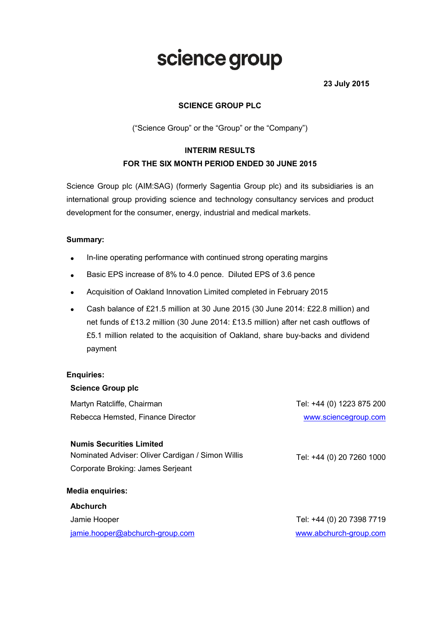# science group

23 July 2015

## SCIENCE GROUP PLC

("Science Group" or the "Group" or the "Company")

## INTERIM RESULTS FOR THE SIX MONTH PERIOD ENDED 30 JUNE 2015

Science Group plc (AIM:SAG) (formerly Sagentia Group plc) and its subsidiaries is an international group providing science and technology consultancy services and product development for the consumer, energy, industrial and medical markets.

## Summary:

- In-line operating performance with continued strong operating margins
- Basic EPS increase of 8% to 4.0 pence. Diluted EPS of 3.6 pence
- Acquisition of Oakland Innovation Limited completed in February 2015
- Cash balance of £21.5 million at 30 June 2015 (30 June 2014: £22.8 million) and net funds of £13.2 million (30 June 2014: £13.5 million) after net cash outflows of £5.1 million related to the acquisition of Oakland, share buy-backs and dividend payment

## Enquiries:

| <b>Science Group plc</b>                                                             |                           |
|--------------------------------------------------------------------------------------|---------------------------|
| Martyn Ratcliffe, Chairman                                                           | Tel: +44 (0) 1223 875 200 |
| Rebecca Hemsted, Finance Director                                                    | www.sciencegroup.com      |
| <b>Numis Securities Limited</b><br>Nominated Adviser: Oliver Cardigan / Simon Willis | Tel: +44 (0) 20 7260 1000 |
| Corporate Broking: James Serjeant                                                    |                           |
| <b>Media enquiries:</b>                                                              |                           |
| <b>Abchurch</b>                                                                      |                           |
| Jamie Hooper                                                                         | Tel: +44 (0) 20 7398 7719 |
| jamie.hooper@abchurch-group.com                                                      | www.abchurch-group.com    |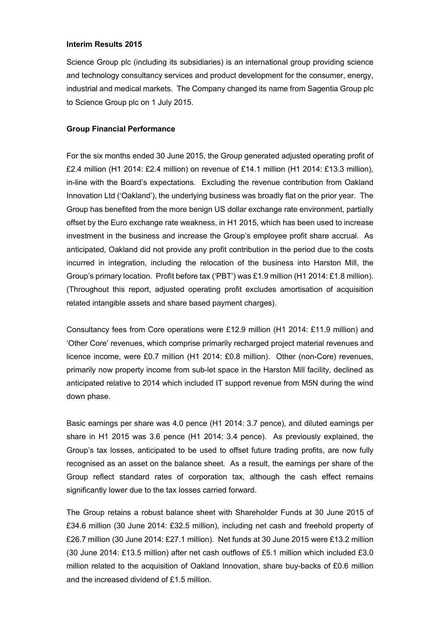### Interim Results 2015

Science Group plc (including its subsidiaries) is an international group providing science and technology consultancy services and product development for the consumer, energy, industrial and medical markets. The Company changed its name from Sagentia Group plc to Science Group plc on 1 July 2015.

## Group Financial Performance

For the six months ended 30 June 2015, the Group generated adjusted operating profit of £2.4 million (H1 2014: £2.4 million) on revenue of £14.1 million (H1 2014: £13.3 million), in-line with the Board's expectations. Excluding the revenue contribution from Oakland Innovation Ltd ('Oakland'), the underlying business was broadly flat on the prior year. The Group has benefited from the more benign US dollar exchange rate environment, partially offset by the Euro exchange rate weakness, in H1 2015, which has been used to increase investment in the business and increase the Group's employee profit share accrual. As anticipated, Oakland did not provide any profit contribution in the period due to the costs incurred in integration, including the relocation of the business into Harston Mill, the Group's primary location. Profit before tax ('PBT') was £1.9 million (H1 2014: £1.8 million). (Throughout this report, adjusted operating profit excludes amortisation of acquisition related intangible assets and share based payment charges).

Consultancy fees from Core operations were £12.9 million (H1 2014: £11.9 million) and 'Other Core' revenues, which comprise primarily recharged project material revenues and licence income, were £0.7 million (H1 2014: £0.8 million). Other (non-Core) revenues, primarily now property income from sub-let space in the Harston Mill facility, declined as anticipated relative to 2014 which included IT support revenue from M5N during the wind down phase.

Basic earnings per share was 4.0 pence (H1 2014: 3.7 pence), and diluted earnings per share in H1 2015 was 3.6 pence (H1 2014: 3.4 pence). As previously explained, the Group's tax losses, anticipated to be used to offset future trading profits, are now fully recognised as an asset on the balance sheet. As a result, the earnings per share of the Group reflect standard rates of corporation tax, although the cash effect remains significantly lower due to the tax losses carried forward.

The Group retains a robust balance sheet with Shareholder Funds at 30 June 2015 of £34.6 million (30 June 2014: £32.5 million), including net cash and freehold property of £26.7 million (30 June 2014: £27.1 million). Net funds at 30 June 2015 were £13.2 million (30 June 2014: £13.5 million) after net cash outflows of £5.1 million which included £3.0 million related to the acquisition of Oakland Innovation, share buy-backs of £0.6 million and the increased dividend of £1.5 million.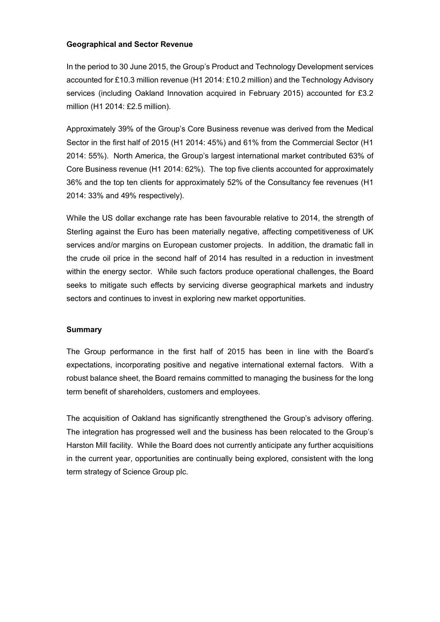## Geographical and Sector Revenue

In the period to 30 June 2015, the Group's Product and Technology Development services accounted for £10.3 million revenue (H1 2014: £10.2 million) and the Technology Advisory services (including Oakland Innovation acquired in February 2015) accounted for £3.2 million (H1 2014: £2.5 million).

Approximately 39% of the Group's Core Business revenue was derived from the Medical Sector in the first half of 2015 (H1 2014: 45%) and 61% from the Commercial Sector (H1 2014: 55%). North America, the Group's largest international market contributed 63% of Core Business revenue (H1 2014: 62%). The top five clients accounted for approximately 36% and the top ten clients for approximately 52% of the Consultancy fee revenues (H1 2014: 33% and 49% respectively).

While the US dollar exchange rate has been favourable relative to 2014, the strength of Sterling against the Euro has been materially negative, affecting competitiveness of UK services and/or margins on European customer projects. In addition, the dramatic fall in the crude oil price in the second half of 2014 has resulted in a reduction in investment within the energy sector. While such factors produce operational challenges, the Board seeks to mitigate such effects by servicing diverse geographical markets and industry sectors and continues to invest in exploring new market opportunities.

## **Summary**

The Group performance in the first half of 2015 has been in line with the Board's expectations, incorporating positive and negative international external factors. With a robust balance sheet, the Board remains committed to managing the business for the long term benefit of shareholders, customers and employees.

The acquisition of Oakland has significantly strengthened the Group's advisory offering. The integration has progressed well and the business has been relocated to the Group's Harston Mill facility. While the Board does not currently anticipate any further acquisitions in the current year, opportunities are continually being explored, consistent with the long term strategy of Science Group plc.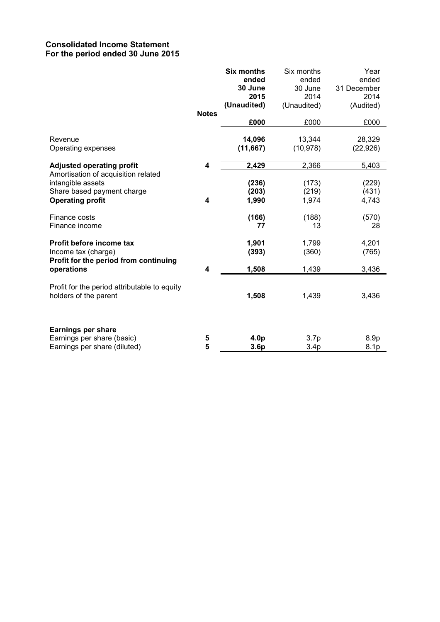## Consolidated Income Statement For the period ended 30 June 2015

|                                                                                                                   | <b>Notes</b> | <b>Six months</b><br>ended<br>30 June<br>2015<br>(Unaudited) | Six months<br>ended<br>30 June<br>2014<br>(Unaudited) | Year<br>ended<br>31 December<br>2014<br>(Audited) |
|-------------------------------------------------------------------------------------------------------------------|--------------|--------------------------------------------------------------|-------------------------------------------------------|---------------------------------------------------|
|                                                                                                                   |              | £000                                                         | £000                                                  | £000                                              |
| Revenue<br>Operating expenses                                                                                     |              | 14,096<br>(11, 667)                                          | 13,344<br>(10, 978)                                   | 28,329<br>(22, 926)                               |
| <b>Adjusted operating profit</b>                                                                                  | 4            | 2,429                                                        | 2,366                                                 | 5,403                                             |
| Amortisation of acquisition related<br>intangible assets<br>Share based payment charge<br><b>Operating profit</b> | 4            | (236)<br>(203)<br>1,990                                      | (173)<br>(219)<br>1,974                               | (229)<br>(431)<br>4,743                           |
| Finance costs<br>Finance income                                                                                   |              | (166)<br>77                                                  | (188)<br>13                                           | (570)<br>28                                       |
| Profit before income tax<br>Income tax (charge)<br>Profit for the period from continuing                          |              | 1,901<br>(393)                                               | 1,799<br>(360)                                        | 4,201<br>(765)                                    |
| operations                                                                                                        | 4            | 1,508                                                        | 1,439                                                 | 3,436                                             |
| Profit for the period attributable to equity<br>holders of the parent                                             |              | 1,508                                                        | 1,439                                                 | 3,436                                             |
| <b>Earnings per share</b><br>Earnings per share (basic)<br>Earnings per share (diluted)                           | 5<br>5       | 4.0 <sub>p</sub><br>3.6p                                     | 3.7p<br>3.4 <sub>p</sub>                              | 8.9 <sub>p</sub><br>8.1p                          |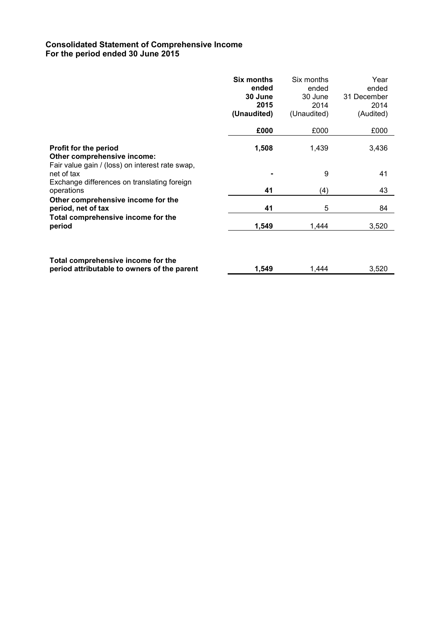## Consolidated Statement of Comprehensive Income For the period ended 30 June 2015

|                                                                                   | <b>Six months</b><br>ended<br>30 June<br>2015 | Six months<br>ended<br>30 June<br>2014 | Year<br>ended<br>31 December<br>2014 |
|-----------------------------------------------------------------------------------|-----------------------------------------------|----------------------------------------|--------------------------------------|
|                                                                                   | (Unaudited)                                   | (Unaudited)                            | (Audited)                            |
|                                                                                   | £000                                          | £000                                   | £000                                 |
| <b>Profit for the period</b><br>Other comprehensive income:                       | 1,508                                         | 1,439                                  | 3,436                                |
| Fair value gain / (loss) on interest rate swap,<br>net of tax                     |                                               | 9                                      | 41                                   |
| Exchange differences on translating foreign<br>operations                         | 41                                            | (4)                                    | 43                                   |
| Other comprehensive income for the<br>period, net of tax                          | 41                                            | 5                                      | 84                                   |
| Total comprehensive income for the<br>period                                      | 1,549                                         | 1,444                                  | 3,520                                |
| Total comprehensive income for the<br>period attributable to owners of the parent | 1,549                                         | 1,444                                  | 3,520                                |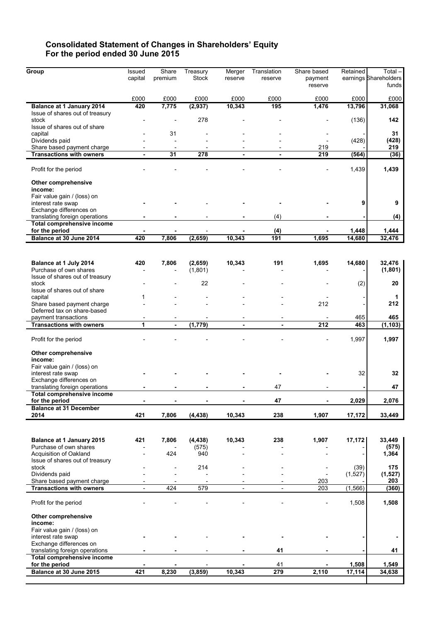## Consolidated Statement of Changes in Shareholders' Equity For the period ended 30 June 2015

| Group                                                         | Issued  | Share                | Treasury     | Merger  | Translation | Share based | Retained | Total-                |
|---------------------------------------------------------------|---------|----------------------|--------------|---------|-------------|-------------|----------|-----------------------|
|                                                               | capital | premium              | <b>Stock</b> | reserve | reserve     | payment     |          | earnings Shareholders |
|                                                               |         |                      |              |         |             | reserve     |          | funds                 |
|                                                               | £000    | £000                 | £000         | £000    | £000        | £000        | £000     | £000                  |
| Balance at 1 January 2014                                     | 420     | 7,775                | (2, 937)     | 10,343  | 195         | 1,476       | 13,796   | 31,068                |
| Issue of shares out of treasury                               |         |                      |              |         |             |             |          |                       |
| stock                                                         |         |                      | 278          |         |             |             | (136)    | 142                   |
| Issue of shares out of share                                  |         |                      |              |         |             |             |          |                       |
| capital                                                       |         | 31                   |              |         |             |             |          | 31                    |
| Dividends paid                                                |         | $\overline{a}$       |              |         |             |             | (428)    | (428)                 |
| Share based payment charge<br><b>Transactions with owners</b> |         | $\overline{a}$<br>31 | 278          |         |             | 219<br>219  | (564)    | 219<br>(36)           |
|                                                               |         |                      |              |         |             |             |          |                       |
| Profit for the period                                         |         |                      |              |         |             |             | 1,439    | 1,439                 |
| Other comprehensive                                           |         |                      |              |         |             |             |          |                       |
| income:                                                       |         |                      |              |         |             |             |          |                       |
| Fair value gain / (loss) on                                   |         |                      |              |         |             |             |          |                       |
| interest rate swap                                            |         |                      |              |         |             |             | 9        | 9                     |
| Exchange differences on                                       |         |                      |              |         |             |             |          |                       |
| translating foreign operations<br>Total comprehensive income  |         |                      |              |         | (4)         |             |          | (4)                   |
| for the period                                                |         |                      |              |         | (4)         |             | 1,448    | 1,444                 |
| Balance at 30 June 2014                                       | 420     | 7,806                | (2,659)      | 10,343  | 191         | 1,695       | 14,680   | 32,476                |
|                                                               |         |                      |              |         |             |             |          |                       |
|                                                               |         |                      |              |         |             |             |          |                       |
| Balance at 1 July 2014                                        | 420     | 7,806                | (2,659)      | 10,343  | 191         | 1,695       | 14,680   | 32,476                |
| Purchase of own shares                                        |         |                      | (1,801)      |         |             |             |          | (1, 801)              |
| Issue of shares out of treasury                               |         |                      |              |         |             |             |          |                       |
| stock                                                         |         |                      | 22           |         |             |             | (2)      | 20                    |
| Issue of shares out of share                                  |         |                      |              |         |             |             |          |                       |
| capital<br>Share based payment charge                         | 1       |                      |              |         |             | 212         |          | 1<br>212              |
| Deferred tax on share-based                                   |         |                      |              |         |             |             |          |                       |
| payment transactions                                          |         |                      |              |         |             |             | 465      | 465                   |
| <b>Transactions with owners</b>                               | 1       | $\blacksquare$       | (1, 779)     |         | ٠           | 212         | 463      | (1, 103)              |
|                                                               |         |                      |              |         |             |             |          |                       |
| Profit for the period                                         |         |                      |              |         |             |             | 1,997    | 1,997                 |
| Other comprehensive                                           |         |                      |              |         |             |             |          |                       |
| income:                                                       |         |                      |              |         |             |             |          |                       |
| Fair value gain / (loss) on                                   |         |                      |              |         |             |             |          |                       |
| interest rate swap                                            |         |                      |              |         |             |             | 32       | 32                    |
| Exchange differences on                                       |         |                      |              |         |             |             |          |                       |
| translating foreign operations                                |         |                      |              |         | 47          |             |          | 47                    |
| Total comprehensive income<br>for the period                  |         |                      |              |         | 47          |             | 2,029    | 2,076                 |
| <b>Balance at 31 December</b>                                 |         |                      |              |         |             |             |          |                       |
| 2014                                                          | 421     | 7,806                | (4, 438)     | 10,343  | 238         | 1,907       | 17,172   | 33,449                |
|                                                               |         |                      |              |         |             |             |          |                       |
|                                                               |         |                      |              |         |             |             |          |                       |
| Balance at 1 January 2015                                     | 421     | 7,806                | (4, 438)     | 10,343  | 238         | 1,907       | 17,172   | 33,449                |
| Purchase of own shares                                        |         |                      | (575)        |         |             |             |          | (575)                 |
| Acquisition of Oakland                                        |         | 424                  | 940          |         |             |             |          | 1,364                 |
| Issue of shares out of treasury                               |         |                      |              |         |             |             |          |                       |
| stock                                                         |         |                      | 214          |         |             |             | (39)     | 175                   |
| Dividends paid<br>Share based payment charge                  |         |                      |              |         |             | 203         | (1,527)  | (1,527)<br>203        |
| <b>Transactions with owners</b>                               |         | 424                  | 579          |         |             | 203         | (1, 566) | (360)                 |
|                                                               |         |                      |              |         |             |             |          |                       |
| Profit for the period                                         |         |                      |              |         |             |             | 1,508    | 1,508                 |
|                                                               |         |                      |              |         |             |             |          |                       |
| Other comprehensive                                           |         |                      |              |         |             |             |          |                       |
| income:                                                       |         |                      |              |         |             |             |          |                       |
| Fair value gain / (loss) on<br>interest rate swap             |         |                      |              |         |             |             |          |                       |
| Exchange differences on                                       |         |                      |              |         |             |             |          |                       |
| translating foreign operations                                |         |                      |              |         | 41          |             |          | 41                    |
| Total comprehensive income                                    |         |                      |              |         |             |             |          |                       |
| for the period                                                |         |                      |              |         | 41          |             | 1,508    | 1,549                 |
| Balance at 30 June 2015                                       | 421     | 8,230                | (3, 859)     | 10,343  | 279         | 2,110       | 17,114   | 34,638                |
|                                                               |         |                      |              |         |             |             |          |                       |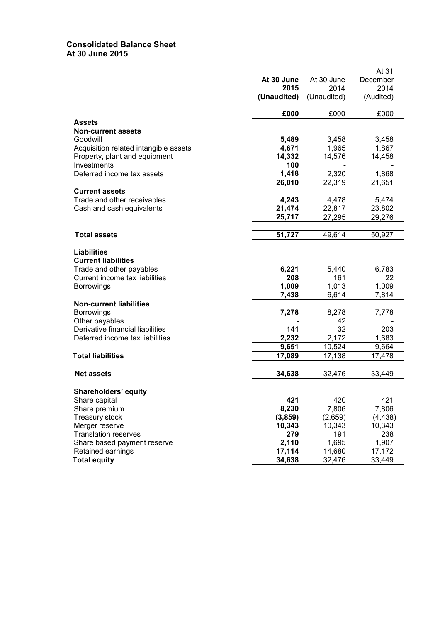## Consolidated Balance Sheet At 30 June 2015

|                                       |             |             | At 31     |
|---------------------------------------|-------------|-------------|-----------|
|                                       | At 30 June  | At 30 June  | December  |
|                                       | 2015        | 2014        | 2014      |
|                                       | (Unaudited) | (Unaudited) | (Audited) |
|                                       | £000        | £000        | £000      |
| <b>Assets</b>                         |             |             |           |
| <b>Non-current assets</b>             |             |             |           |
| Goodwill                              | 5,489       | 3,458       | 3,458     |
| Acquisition related intangible assets | 4,671       | 1,965       | 1,867     |
| Property, plant and equipment         | 14,332      | 14,576      | 14,458    |
| Investments                           | 100         |             |           |
| Deferred income tax assets            | 1,418       | 2,320       | 1,868     |
|                                       | 26,010      | 22,319      | 21,651    |
| <b>Current assets</b>                 |             |             |           |
| Trade and other receivables           | 4,243       | 4,478       | 5,474     |
| Cash and cash equivalents             | 21,474      | 22,817      | 23,802    |
|                                       | 25,717      | 27,295      | 29,276    |
|                                       |             |             |           |
| <b>Total assets</b>                   | 51,727      | 49,614      | 50,927    |
| <b>Liabilities</b>                    |             |             |           |
| <b>Current liabilities</b>            |             |             |           |
| Trade and other payables              | 6,221       | 5,440       | 6,783     |
| Current income tax liabilities        | 208         | 161         | 22        |
| <b>Borrowings</b>                     | 1,009       | 1,013       | 1,009     |
|                                       | 7,438       | 6,614       | 7,814     |
| <b>Non-current liabilities</b>        |             |             |           |
| <b>Borrowings</b>                     | 7,278       | 8,278       | 7,778     |
| Other payables                        |             | 42          |           |
| Derivative financial liabilities      | 141         | 32          | 203       |
| Deferred income tax liabilities       | 2,232       | 2,172       | 1,683     |
|                                       | 9,651       | 10,524      | 9,664     |
| <b>Total liabilities</b>              | 17,089      | 17,138      | 17,478    |
|                                       |             |             |           |
| <b>Net assets</b>                     | 34,638      | 32,476      | 33,449    |
| <b>Shareholders' equity</b>           |             |             |           |
| Share capital                         | 421         | 420         | 421       |
| Share premium                         | 8,230       | 7,806       | 7,806     |
| <b>Treasury stock</b>                 | (3, 859)    | (2,659)     | (4, 438)  |
| Merger reserve                        | 10,343      | 10,343      | 10,343    |
| <b>Translation reserves</b>           | 279         | 191         | 238       |
| Share based payment reserve           | 2,110       | 1,695       | 1,907     |
| Retained earnings                     | 17,114      | 14,680      | 17,172    |
| <b>Total equity</b>                   | 34,638      | 32,476      | 33,449    |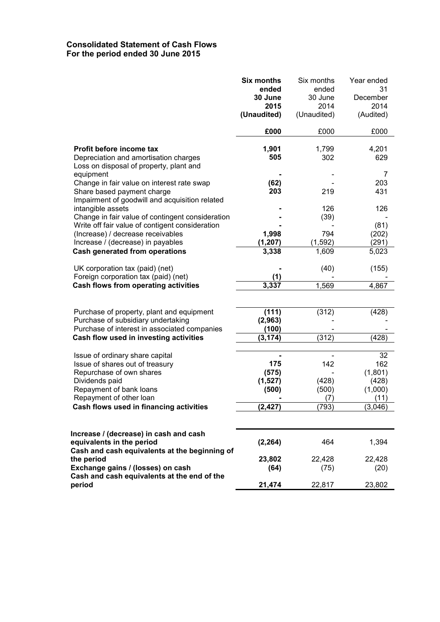## Consolidated Statement of Cash Flows For the period ended 30 June 2015

|                                                                                                                                                                           | <b>Six months</b><br>ended<br>30 June<br>2015<br>(Unaudited) | Six months<br>ended<br>30 June<br>2014<br>(Unaudited) | Year ended<br>31<br>December<br>2014<br>(Audited) |
|---------------------------------------------------------------------------------------------------------------------------------------------------------------------------|--------------------------------------------------------------|-------------------------------------------------------|---------------------------------------------------|
|                                                                                                                                                                           | £000                                                         | £000                                                  | £000                                              |
| Profit before income tax<br>Depreciation and amortisation charges<br>Loss on disposal of property, plant and                                                              | 1,901<br>505                                                 | 1,799<br>302                                          | 4,201<br>629                                      |
| equipment<br>Change in fair value on interest rate swap<br>Share based payment charge<br>Impairment of goodwill and acquisition related                                   | (62)<br>203                                                  | 219                                                   | 7<br>203<br>431                                   |
| intangible assets<br>Change in fair value of contingent consideration<br>Write off fair value of contigent consideration                                                  |                                                              | 126<br>(39)                                           | 126<br>(81)                                       |
| (Increase) / decrease receivables<br>Increase / (decrease) in payables                                                                                                    | 1,998<br>(1, 207)                                            | 794<br>(1, 592)                                       | (202)<br>(291)                                    |
| Cash generated from operations                                                                                                                                            | 3,338                                                        | 1,609                                                 | 5,023                                             |
| UK corporation tax (paid) (net)<br>Foreign corporation tax (paid) (net)                                                                                                   | (1)                                                          | (40)                                                  | (155)                                             |
| Cash flows from operating activities                                                                                                                                      | 3,337                                                        | 1,569                                                 | 4,867                                             |
| Purchase of property, plant and equipment<br>Purchase of subsidiary undertaking<br>Purchase of interest in associated companies<br>Cash flow used in investing activities | (111)<br>(2,963)<br>(100)<br>(3, 174)                        | (312)<br>(312)                                        | (428)<br>(428)                                    |
| Issue of ordinary share capital<br>Issue of shares out of treasury<br>Repurchase of own shares<br>Dividends paid<br>Repayment of bank loans<br>Repayment of other loan    | 175<br>(575)<br>(1,527)<br>(500)                             | 142<br>(428)<br>(500)<br>(7)                          | 32<br>162<br>(1,801)<br>(428)<br>(1,000)<br>(11)  |
| Cash flows used in financing activities                                                                                                                                   | (2, 427)                                                     | (793)                                                 | (3,046)                                           |
| Increase / (decrease) in cash and cash<br>equivalents in the period<br>Cash and cash equivalents at the beginning of                                                      | (2, 264)                                                     | 464                                                   | 1,394                                             |
| the period<br>Exchange gains / (losses) on cash<br>Cash and cash equivalents at the end of the                                                                            | 23,802<br>(64)                                               | 22,428<br>(75)                                        | 22,428<br>(20)                                    |
| period                                                                                                                                                                    | 21,474                                                       | 22,817                                                | 23,802                                            |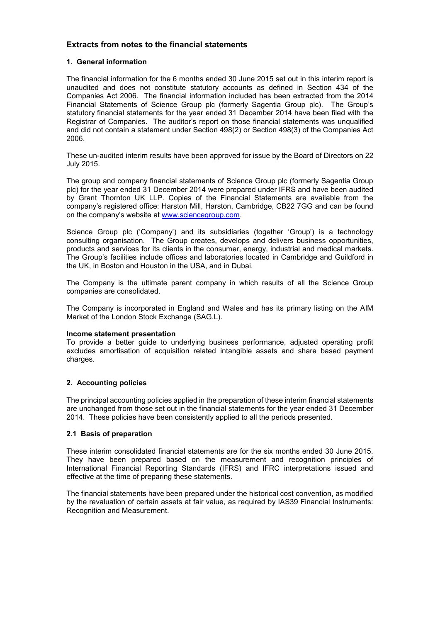## Extracts from notes to the financial statements

### 1. General information

The financial information for the 6 months ended 30 June 2015 set out in this interim report is unaudited and does not constitute statutory accounts as defined in Section 434 of the Companies Act 2006. The financial information included has been extracted from the 2014 Financial Statements of Science Group plc (formerly Sagentia Group plc). The Group's statutory financial statements for the year ended 31 December 2014 have been filed with the Registrar of Companies. The auditor's report on those financial statements was unqualified and did not contain a statement under Section 498(2) or Section 498(3) of the Companies Act 2006.

These un-audited interim results have been approved for issue by the Board of Directors on 22 July 2015.

The group and company financial statements of Science Group plc (formerly Sagentia Group plc) for the year ended 31 December 2014 were prepared under IFRS and have been audited by Grant Thornton UK LLP. Copies of the Financial Statements are available from the company's registered office: Harston Mill, Harston, Cambridge, CB22 7GG and can be found on the company's website at [www.sciencegroup.com](http://www.sciencegroup.com/).

Science Group plc ('Company') and its subsidiaries (together 'Group') is a technology consulting organisation. The Group creates, develops and delivers business opportunities, products and services for its clients in the consumer, energy, industrial and medical markets. The Group's facilities include offices and laboratories located in Cambridge and Guildford in the UK, in Boston and Houston in the USA, and in Dubai.

The Company is the ultimate parent company in which results of all the Science Group companies are consolidated.

The Company is incorporated in England and Wales and has its primary listing on the AIM Market of the London Stock Exchange (SAG.L).

#### Income statement presentation

To provide a better guide to underlying business performance, adjusted operating profit excludes amortisation of acquisition related intangible assets and share based payment charges.

## 2. Accounting policies

The principal accounting policies applied in the preparation of these interim financial statements are unchanged from those set out in the financial statements for the year ended 31 December 2014. These policies have been consistently applied to all the periods presented.

#### 2.1 Basis of preparation

These interim consolidated financial statements are for the six months ended 30 June 2015. They have been prepared based on the measurement and recognition principles of International Financial Reporting Standards (IFRS) and IFRC interpretations issued and effective at the time of preparing these statements.

The financial statements have been prepared under the historical cost convention, as modified by the revaluation of certain assets at fair value, as required by IAS39 Financial Instruments: Recognition and Measurement.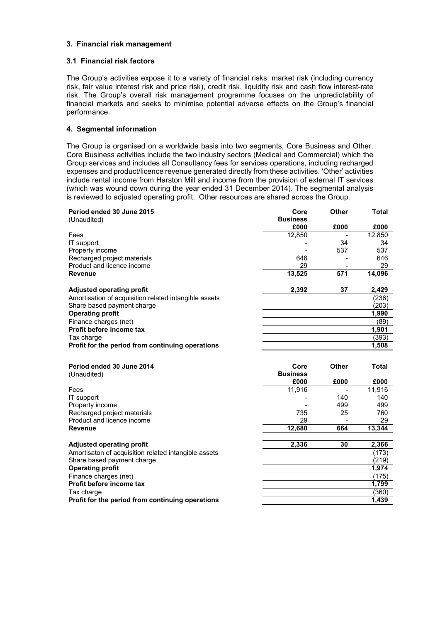### 3. Financial risk management

#### 3.1 Financial risk factors

The Group's activities expose it to a variety of financial risks: market risk (including currency risk, fair value interest risk and price risk), credit risk, liquidity risk and cash flow interest-rate risk. The Group's overall risk management programme focuses on the unpredictability of financial markets and seeks to minimise potential adverse effects on the Group's financial performance.

## 4. Segmental information

The Group is organised on a worldwide basis into two segments, Core Business and Other. Core Business activities include the two industry sectors (Medical and Commercial) which the Group services and includes all Consultancy fees for services operations, including recharged expenses and product/licence revenue generated directly from these activities. 'Other' activities include rental income from Harston Mill and income from the provision of external IT services (which was wound down during the year ended 31 December 2014). The segmental analysis is reviewed to adjusted operating profit. Other resources are shared across the Group.

| Period ended 30 June 2015                             | Core            | Other        | Total        |
|-------------------------------------------------------|-----------------|--------------|--------------|
| (Unaudited)                                           | <b>Business</b> |              |              |
|                                                       | £000            | £000         | £000         |
| Fees                                                  | 12,850          |              | 12,850       |
| IT support                                            |                 | 34           | 34           |
| Property income                                       |                 | 537          | 537          |
| Recharged project materials                           | 646             |              | 646          |
| Product and licence income                            | 29              |              | 29           |
| <b>Revenue</b>                                        | 13,525          | 571          | 14,096       |
| <b>Adjusted operating profit</b>                      | 2,392           | 37           | 2,429        |
| Amortisation of acquisition related intangible assets |                 |              | (236)        |
| Share based payment charge                            |                 |              | (203)        |
| <b>Operating profit</b>                               |                 |              | 1,990        |
| Finance charges (net)                                 |                 |              | (89)         |
| Profit before income tax                              |                 |              | 1,901        |
| Tax charge                                            |                 |              | (393)        |
| Profit for the period from continuing operations      |                 |              | 1,508        |
|                                                       |                 |              |              |
| Period ended 30 June 2014                             | Core            | <b>Other</b> | <b>Total</b> |
| (Unaudited)                                           | <b>Business</b> |              |              |
|                                                       | £000            | £000         | £000         |
| Fees                                                  | 11,916          |              | 11,916       |
| IT support                                            |                 | 140          | 140          |
| Property income                                       |                 | 499          | 499          |
| Recharged project materials                           | 735             | 25           | 760          |
| Product and licence income                            | 29              |              | 29           |
| <b>Revenue</b>                                        | 12,680          | 664          | 13,344       |
| <b>Adjusted operating profit</b>                      | 2,336           | 30           | 2,366        |
| Amortisaton of acquisition related intangible assets  |                 |              | (173)        |
| Share based payment charge                            |                 |              | (219)        |
| <b>Operating profit</b>                               |                 |              | 1,974        |
| Finance charges (net)                                 |                 |              | (175)        |
| Profit before income tax                              |                 |              | 1.799        |

Tax charge (360) Profit for the period from continuing operations **1,439**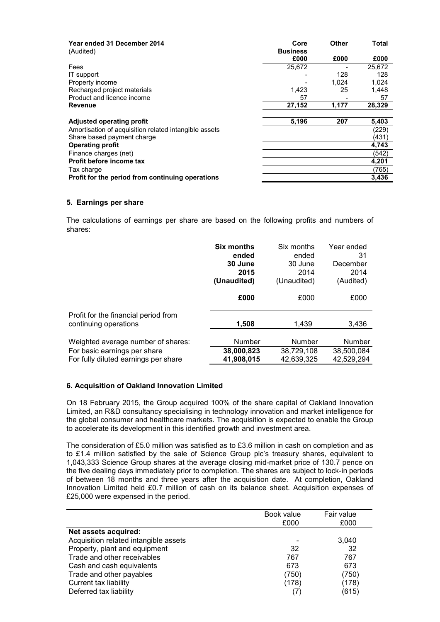| Year ended 31 December 2014<br>(Audited)              | Core<br><b>Business</b> | Other | Total  |
|-------------------------------------------------------|-------------------------|-------|--------|
|                                                       | £000                    | £000  | £000   |
| Fees                                                  | 25.672                  |       | 25.672 |
| IT support                                            |                         | 128   | 128    |
| Property income                                       |                         | 1.024 | 1,024  |
| Recharged project materials                           | 1.423                   | 25    | 1,448  |
| Product and licence income                            | 57                      |       | 57     |
| Revenue                                               | 27,152                  | 1,177 | 28,329 |
| Adjusted operating profit                             | 5,196                   | 207   | 5,403  |
| Amortisation of acquisition related intangible assets |                         |       | (229)  |
| Share based payment charge                            |                         |       | (431)  |
| <b>Operating profit</b>                               |                         |       | 4,743  |
| Finance charges (net)                                 |                         |       | (542)  |
| Profit before income tax                              |                         |       | 4,201  |
| Tax charge                                            |                         |       | (765)  |
| Profit for the period from continuing operations      |                         |       | 3,436  |

#### 5. Earnings per share

The calculations of earnings per share are based on the following profits and numbers of shares:

|                                                               | <b>Six months</b> | Six months    | Year ended |
|---------------------------------------------------------------|-------------------|---------------|------------|
|                                                               | ended             | ended         | 31         |
|                                                               | 30 June           | 30 June       | December   |
|                                                               | 2015              | 2014          | 2014       |
|                                                               | (Unaudited)       | (Unaudited)   | (Audited)  |
|                                                               | £000              | £000          | £000       |
| Profit for the financial period from<br>continuing operations | 1,508             | 1.439         | 3,436      |
| Weighted average number of shares:                            | <b>Number</b>     | <b>Number</b> | Number     |
| For basic earnings per share                                  | 38,000,823        | 38,729,108    | 38,500,084 |
| For fully diluted earnings per share                          | 41,908,015        | 42.639.325    | 42.529.294 |

## 6. Acquisition of Oakland Innovation Limited

On 18 February 2015, the Group acquired 100% of the share capital of Oakland Innovation Limited, an R&D consultancy specialising in technology innovation and market intelligence for the global consumer and healthcare markets. The acquisition is expected to enable the Group to accelerate its development in this identified growth and investment area.

The consideration of £5.0 million was satisfied as to £3.6 million in cash on completion and as to £1.4 million satisfied by the sale of Science Group plc's treasury shares, equivalent to 1,043,333 Science Group shares at the average closing mid-market price of 130.7 pence on the five dealing days immediately prior to completion. The shares are subject to lock-in periods of between 18 months and three years after the acquisition date. At completion, Oakland Innovation Limited held £0.7 million of cash on its balance sheet. Acquisition expenses of £25,000 were expensed in the period.

|                                       | Book value<br>£000 | Fair value<br>£000 |
|---------------------------------------|--------------------|--------------------|
| Net assets acquired:                  |                    |                    |
| Acquisition related intangible assets |                    | 3,040              |
| Property, plant and equipment         | 32                 | 32                 |
| Trade and other receivables           | 767                | 767                |
| Cash and cash equivalents             | 673                | 673                |
| Trade and other payables              | (750)              | (750)              |
| Current tax liability                 | (178)              | (178)              |
| Deferred tax liability                | (7)                | (615)              |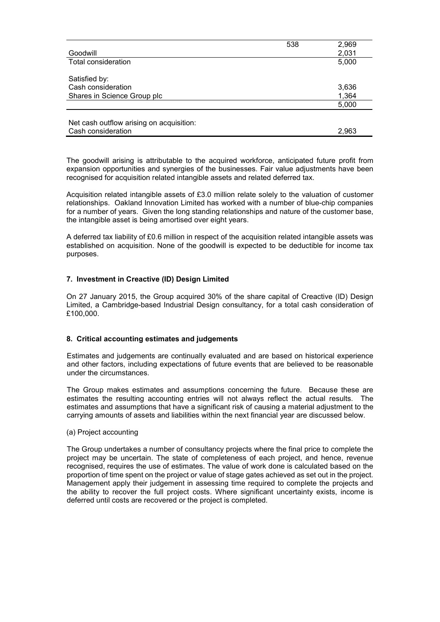|                                          | 538 | 2,969 |
|------------------------------------------|-----|-------|
| Goodwill                                 |     | 2,031 |
| <b>Total consideration</b>               |     | 5,000 |
|                                          |     |       |
| Satisfied by:                            |     |       |
| Cash consideration                       |     | 3,636 |
| Shares in Science Group plc              |     | 1,364 |
|                                          |     | 5,000 |
|                                          |     |       |
| Net cash outflow arising on acquisition: |     |       |
| Cash consideration                       |     | 2,963 |

The goodwill arising is attributable to the acquired workforce, anticipated future profit from expansion opportunities and synergies of the businesses. Fair value adjustments have been recognised for acquisition related intangible assets and related deferred tax.

Acquisition related intangible assets of £3.0 million relate solely to the valuation of customer relationships. Oakland Innovation Limited has worked with a number of blue-chip companies for a number of years. Given the long standing relationships and nature of the customer base, the intangible asset is being amortised over eight years.

A deferred tax liability of £0.6 million in respect of the acquisition related intangible assets was established on acquisition. None of the goodwill is expected to be deductible for income tax purposes.

## 7. Investment in Creactive (ID) Design Limited

On 27 January 2015, the Group acquired 30% of the share capital of Creactive (ID) Design Limited, a Cambridge-based Industrial Design consultancy, for a total cash consideration of £100,000.

#### 8. Critical accounting estimates and judgements

Estimates and judgements are continually evaluated and are based on historical experience and other factors, including expectations of future events that are believed to be reasonable under the circumstances.

The Group makes estimates and assumptions concerning the future. Because these are estimates the resulting accounting entries will not always reflect the actual results. The estimates and assumptions that have a significant risk of causing a material adjustment to the carrying amounts of assets and liabilities within the next financial year are discussed below.

#### (a) Project accounting

The Group undertakes a number of consultancy projects where the final price to complete the project may be uncertain. The state of completeness of each project, and hence, revenue recognised, requires the use of estimates. The value of work done is calculated based on the proportion of time spent on the project or value of stage gates achieved as set out in the project. Management apply their judgement in assessing time required to complete the projects and the ability to recover the full project costs. Where significant uncertainty exists, income is deferred until costs are recovered or the project is completed.